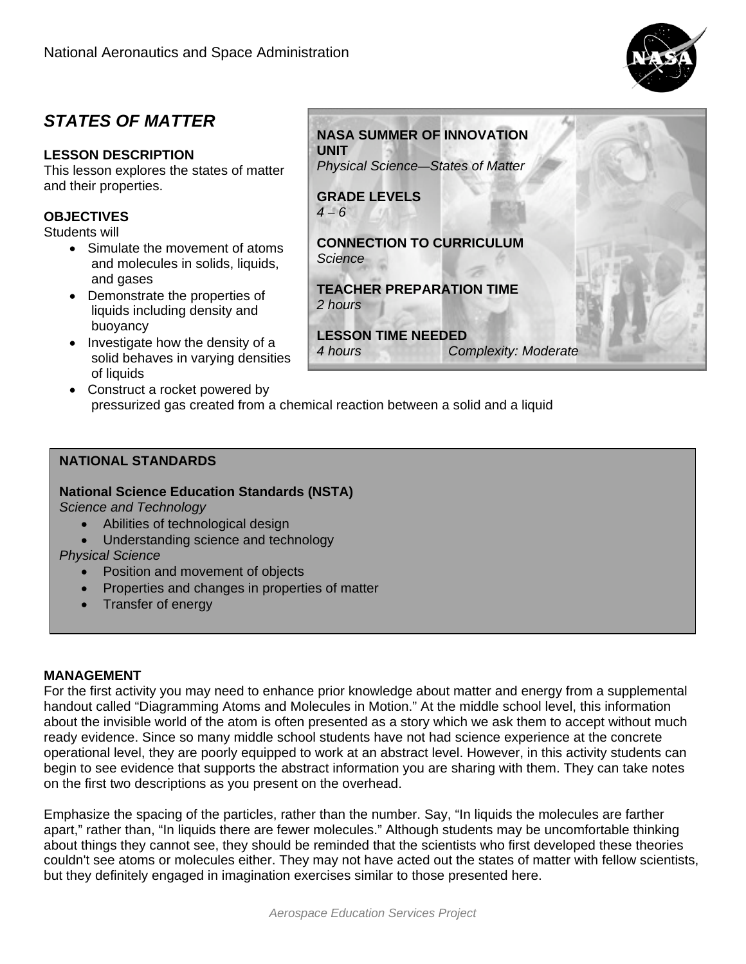

# *STATES OF MATTER*

# **LESSON DESCRIPTION**

This lesson explores the states of matter and their properties.

# **OBJECTIVES**

Students will

- Simulate the movement of atoms and molecules in solids, liquids, and gases
- Demonstrate the properties of liquids including density and buoyancy
- Investigate how the density of a solid behaves in varying densities of liquids
- Construct a rocket powered by pressurized gas created from a chemical reaction between a solid and a liquid

# **NATIONAL STANDARDS**

**National Science Education Standards (NSTA)** 

*Science and Technology* 

- Abilities of technological design
- Understanding science and technology

*Physical Science* 

- Position and movement of objects
- Properties and changes in properties of matter
- Transfer of energy

## **MANAGEMENT**

For the first activity you may need to enhance prior knowledge about matter and energy from a supplemental handout called "Diagramming Atoms and Molecules in Motion." At the middle school level, this information about the invisible world of the atom is often presented as a story which we ask them to accept without much ready evidence. Since so many middle school students have not had science experience at the concrete operational level, they are poorly equipped to work at an abstract level. However, in this activity students can begin to see evidence that supports the abstract information you are sharing with them. They can take notes on the first two descriptions as you present on the overhead.

Emphasize the spacing of the particles, rather than the number. Say, "In liquids the molecules are farther apart," rather than, "In liquids there are fewer molecules." Although students may be uncomfortable thinking about things they cannot see, they should be reminded that the scientists who first developed these theories couldn't see atoms or molecules either. They may not have acted out the states of matter with fellow scientists, but they definitely engaged in imagination exercises similar to those presented here.



**LESSON TIME NEEDED** 

*4 hours Complexity: Moderate*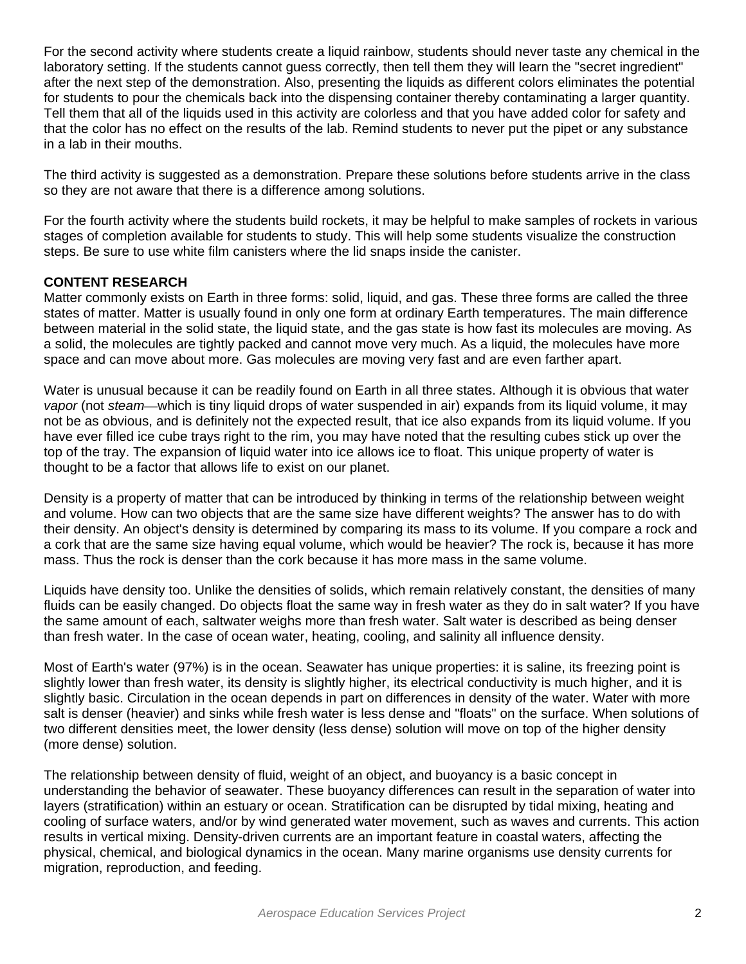For the second activity where students create a liquid rainbow, students should never taste any chemical in the laboratory setting. If the students cannot quess correctly, then tell them they will learn the "secret ingredient" after the next step of the demonstration. Also, presenting the liquids as different colors eliminates the potential for students to pour the chemicals back into the dispensing container thereby contaminating a larger quantity. Tell them that all of the liquids used in this activity are colorless and that you have added color for safety and that the color has no effect on the results of the lab. Remind students to never put the pipet or any substance in a lab in their mouths.

The third activity is suggested as a demonstration. Prepare these solutions before students arrive in the class so they are not aware that there is a difference among solutions.

For the fourth activity where the students build rockets, it may be helpful to make samples of rockets in various stages of completion available for students to study. This will help some students visualize the construction steps. Be sure to use white film canisters where the lid snaps inside the canister.

#### **CONTENT RESEARCH**

Matter commonly exists on Earth in three forms: solid, liquid, and gas. These three forms are called the three states of matter. Matter is usually found in only one form at ordinary Earth temperatures. The main difference between material in the solid state, the liquid state, and the gas state is how fast its molecules are moving. As a solid, the molecules are tightly packed and cannot move very much. As a liquid, the molecules have more space and can move about more. Gas molecules are moving very fast and are even farther apart.

Water is unusual because it can be readily found on Earth in all three states. Although it is obvious that water *vapor* (not *steam*—which is tiny liquid drops of water suspended in air) expands from its liquid volume, it may not be as obvious, and is definitely not the expected result, that ice also expands from its liquid volume. If you have ever filled ice cube trays right to the rim, you may have noted that the resulting cubes stick up over the top of the tray. The expansion of liquid water into ice allows ice to float. This unique property of water is thought to be a factor that allows life to exist on our planet.

Density is a property of matter that can be introduced by thinking in terms of the relationship between weight and volume. How can two objects that are the same size have different weights? The answer has to do with their density. An object's density is determined by comparing its mass to its volume. If you compare a rock and a cork that are the same size having equal volume, which would be heavier? The rock is, because it has more mass. Thus the rock is denser than the cork because it has more mass in the same volume.

Liquids have density too. Unlike the densities of solids, which remain relatively constant, the densities of many fluids can be easily changed. Do objects float the same way in fresh water as they do in salt water? If you have the same amount of each, saltwater weighs more than fresh water. Salt water is described as being denser than fresh water. In the case of ocean water, heating, cooling, and salinity all influence density.

Most of Earth's water (97%) is in the ocean. Seawater has unique properties: it is saline, its freezing point is slightly lower than fresh water, its density is slightly higher, its electrical conductivity is much higher, and it is slightly basic. Circulation in the ocean depends in part on differences in density of the water. Water with more salt is denser (heavier) and sinks while fresh water is less dense and "floats" on the surface. When solutions of two different densities meet, the lower density (less dense) solution will move on top of the higher density (more dense) solution.

The relationship between density of fluid, weight of an object, and buoyancy is a basic concept in understanding the behavior of seawater. These buoyancy differences can result in the separation of water into layers (stratification) within an estuary or ocean. Stratification can be disrupted by tidal mixing, heating and cooling of surface waters, and/or by wind generated water movement, such as waves and currents. This action results in vertical mixing. Density-driven currents are an important feature in coastal waters, affecting the physical, chemical, and biological dynamics in the ocean. Many marine organisms use density currents for migration, reproduction, and feeding.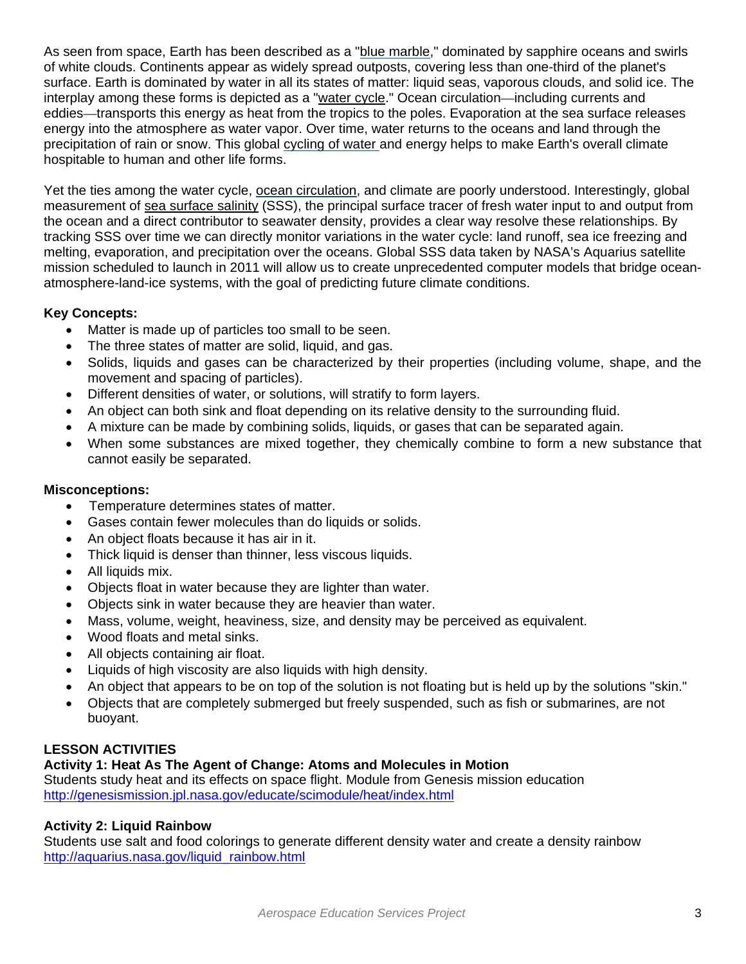As seen from space, Earth has been described as a "blue marble," dominated by sapphire oceans and swirls of white clouds. Continents appear as widely spread outposts, covering less than one-third of the planet's surface. Earth is dominated by water in all its states of matter: liquid seas, vaporous clouds, and solid ice. The interplay among these forms is depicted as a "water cycle." Ocean circulation—including currents and eddies—transports this energy as heat from the tropics to the poles. Evaporation at the sea surface releases energy into the atmosphere as water vapor. Over time, water returns to the oceans and land through the precipitation of rain or snow. This global cycling of water and energy helps to make Earth's overall climate hospitable to human and other life forms.

Yet the ties among the water cycle, ocean circulation, and climate are poorly understood. Interestingly, global measurement of sea surface salinity (SSS), the principal surface tracer of fresh water input to and output from the ocean and a direct contributor to seawater density, provides a clear way resolve these relationships. By tracking SSS over time we can directly monitor variations in the water cycle: land runoff, sea ice freezing and melting, evaporation, and precipitation over the oceans. Global SSS data taken by NASA's Aquarius satellite mission scheduled to launch in 2011 will allow us to create unprecedented computer models that bridge oceanatmosphere-land-ice systems, with the goal of predicting future climate conditions.

# **Key Concepts:**

- Matter is made up of particles too small to be seen.
- The three states of matter are solid, liquid, and gas.
- Solids, liquids and gases can be characterized by their properties (including volume, shape, and the movement and spacing of particles).
- Different densities of water, or solutions, will stratify to form layers.
- An object can both sink and float depending on its relative density to the surrounding fluid.
- A mixture can be made by combining solids, liquids, or gases that can be separated again.
- When some substances are mixed together, they chemically combine to form a new substance that cannot easily be separated.

## **Misconceptions:**

- Temperature determines states of matter.
- Gases contain fewer molecules than do liquids or solids.
- An object floats because it has air in it.
- Thick liquid is denser than thinner, less viscous liquids.
- All liquids mix.
- Objects float in water because they are lighter than water.
- Objects sink in water because they are heavier than water.
- Mass, volume, weight, heaviness, size, and density may be perceived as equivalent.
- Wood floats and metal sinks.
- All objects containing air float.
- Liquids of high viscosity are also liquids with high density.
- An object that appears to be on top of the solution is not floating but is held up by the solutions "skin."
- Objects that are completely submerged but freely suspended, such as fish or submarines, are not buoyant.

# **LESSON ACTIVITIES**

# **Activity 1: Heat As The Agent of Change: Atoms and Molecules in Motion**

Students study heat and its effects on space flight. Module from Genesis mission education http://genesismission.jpl.nasa.gov/educate/scimodule/heat/index.html

# **Activity 2: Liquid Rainbow**

Students use salt and food colorings to generate different density water and create a density rainbow http://aquarius.nasa.gov/liquid\_rainbow.html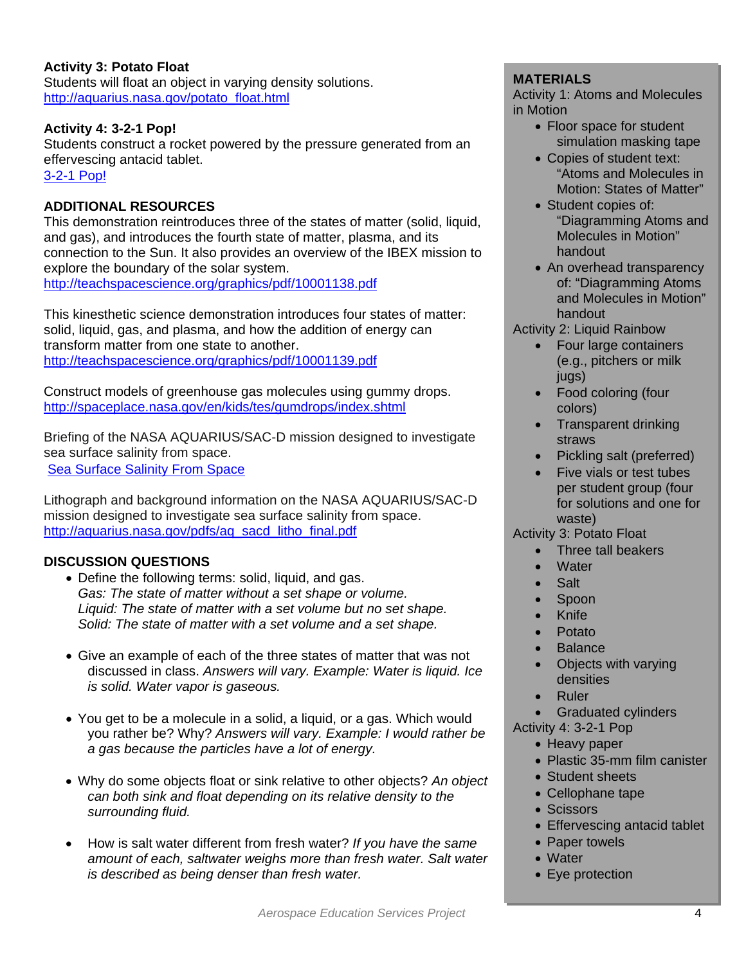# **Activity 3: Potato Float**

Students will float an object in varying density solutions. http://aquarius.nasa.gov/potato\_float.html

#### **Activity 4: 3-2-1 Pop!**

Students construct a rocket powered by the pressure generated from an effervescing antacid tablet. [3-2-1 Pop!](http://www.nasa.gov/pdf/265386main_Adventures_In_Rocket_Science.pdf)

# **ADDITIONAL RESOURCES**

This demonstration reintroduces three of the states of matter (solid, liquid, and gas), and introduces the fourth state of matter, plasma, and its connection to the Sun. It also provides an overview of the IBEX mission to explore the boundary of the solar system. http://teachspacescience.org/graphics/pdf/10001138.pdf

This kinesthetic science demonstration introduces four states of matter: solid, liquid, gas, and plasma, and how the addition of energy can transform matter from one state to another. http://teachspacescience.org/graphics/pdf/10001139.pdf

Construct models of greenhouse gas molecules using gummy drops. http://spaceplace.nasa.gov/en/kids/tes/gumdrops/index.shtml

Briefing of the NASA AQUARIUS/SAC-D mission designed to investigate sea surface salinity from space. [Sea Surface Salinity From Space](http://aquarius.nasa.gov/pdfs/Aquarius_Mission_Brochure_508_Compliant.pdf)

Lithograph and background information on the NASA AQUARIUS/SAC-D mission designed to investigate sea surface salinity from space. http://aquarius.nasa.gov/pdfs/aq\_sacd\_litho\_final.pdf

#### **DISCUSSION QUESTIONS**

- Define the following terms: solid, liquid, and gas. *Gas: The state of matter without a set shape or volume. Liquid: The state of matter with a set volume but no set shape. Solid: The state of matter with a set volume and a set shape.*
- Give an example of each of the three states of matter that was not discussed in class. *Answers will vary. Example: Water is liquid. Ice is solid. Water vapor is gaseous.*
- You get to be a molecule in a solid, a liquid, or a gas. Which would you rather be? Why? *Answers will vary. Example: I would rather be a gas because the particles have a lot of energy.*
- Why do some objects float or sink relative to other objects? *An object can both sink and float depending on its relative density to the surrounding fluid.*
- How is salt water different from fresh water? *If you have the same amount of each, saltwater weighs more than fresh water. Salt water is described as being denser than fresh water.*

#### **MATERIALS**

Activity 1: Atoms and Molecules in Motion

- Floor space for student simulation masking tape
- Copies of student text: "Atoms and Molecules in Motion: States of Matter"
- Student copies of: "Diagramming Atoms and Molecules in Motion" handout
- An overhead transparency of: "Diagramming Atoms and Molecules in Motion" handout

#### Activity 2: Liquid Rainbow

- Four large containers (e.g., pitchers or milk jugs)
- Food coloring (four colors)
- Transparent drinking straws
- Pickling salt (preferred)
- Five vials or test tubes per student group (four for solutions and one for waste)

#### Activity 3: Potato Float

- Three tall beakers
- **Water**
- **Salt**
- Spoon
- Knife
- Potato
- **Balance**
- Objects with varying densities
- **Ruler**
- Graduated cylinders
- Activity 4: 3-2-1 Pop
	- Heavy paper
	- Plastic 35-mm film canister
	- Student sheets
	- Cellophane tape
	- Scissors
	- Effervescing antacid tablet
	- Paper towels
	- Water
	- Eye protection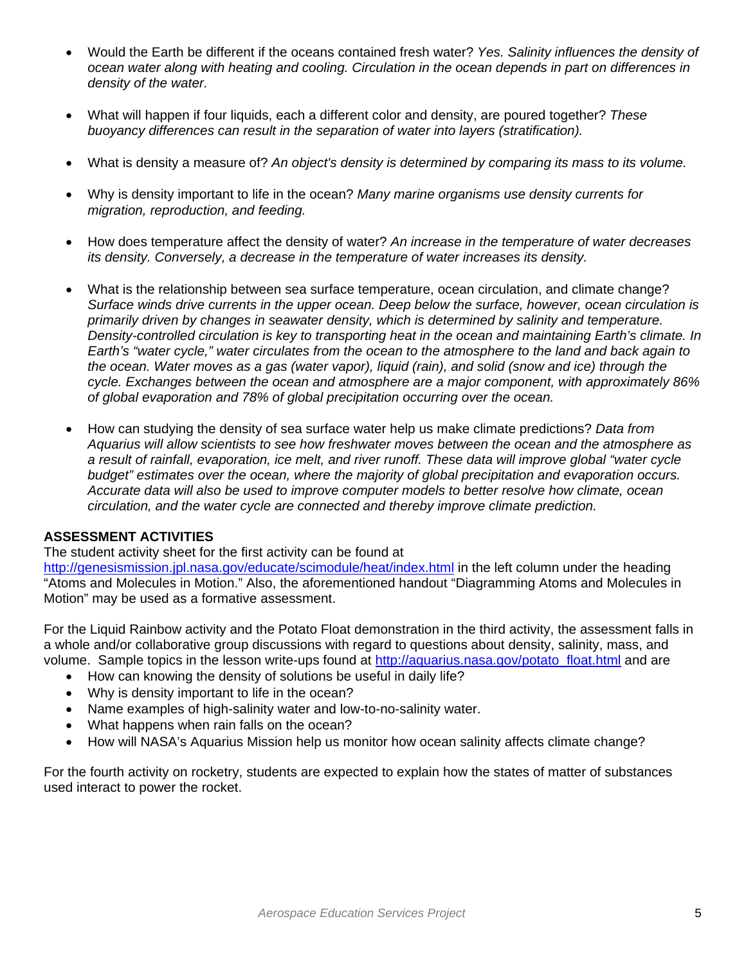- Would the Earth be different if the oceans contained fresh water? *Yes. Salinity influences the density of ocean water along with heating and cooling. Circulation in the ocean depends in part on differences in density of the water.*
- What will happen if four liquids, each a different color and density, are poured together? *These buoyancy differences can result in the separation of water into layers (stratification).*
- What is density a measure of? *An object's density is determined by comparing its mass to its volume.*
- Why is density important to life in the ocean? *Many marine organisms use density currents for migration, reproduction, and feeding.*
- How does temperature affect the density of water? *An increase in the temperature of water decreases its density. Conversely, a decrease in the temperature of water increases its density.*
- What is the relationship between sea surface temperature, ocean circulation, and climate change? *Surface winds drive currents in the upper ocean. Deep below the surface, however, ocean circulation is primarily driven by changes in seawater density, which is determined by salinity and temperature. Density-controlled circulation is key to transporting heat in the ocean and maintaining Earth's climate. In Earth's "water cycle," water circulates from the ocean to the atmosphere to the land and back again to the ocean. Water moves as a gas (water vapor), liquid (rain), and solid (snow and ice) through the cycle. Exchanges between the ocean and atmosphere are a major component, with approximately 86% of global evaporation and 78% of global precipitation occurring over the ocean.*
- How can studying the density of sea surface water help us make climate predictions? *Data from Aquarius will allow scientists to see how freshwater moves between the ocean and the atmosphere as a result of rainfall, evaporation, ice melt, and river runoff. These data will improve global "water cycle budget" estimates over the ocean, where the majority of global precipitation and evaporation occurs. Accurate data will also be used to improve computer models to better resolve how climate, ocean circulation, and the water cycle are connected and thereby improve climate prediction.*

## **ASSESSMENT ACTIVITIES**

The student activity sheet for the first activity can be found at

http://genesismission.jpl.nasa.gov/educate/scimodule/heat/index.html in the left column under the heading "Atoms and Molecules in Motion." Also, the aforementioned handout "Diagramming Atoms and Molecules in Motion" may be used as a formative assessment.

For the Liquid Rainbow activity and the Potato Float demonstration in the third activity, the assessment falls in a whole and/or collaborative group discussions with regard to questions about density, salinity, mass, and volume. Sample topics in the lesson write-ups found at http://aquarius.nasa.gov/potato float.html and are

- How can knowing the density of solutions be useful in daily life?
- Why is density important to life in the ocean?
- Name examples of high-salinity water and low-to-no-salinity water.
- What happens when rain falls on the ocean?
- How will NASA's Aquarius Mission help us monitor how ocean salinity affects climate change?

For the fourth activity on rocketry, students are expected to explain how the states of matter of substances used interact to power the rocket.